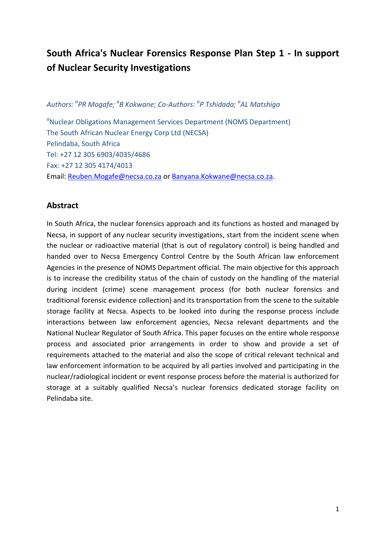# **South Africa's Nuclear Forensics Response Plan Step 1 - In support of Nuclear Security Investigations**

*Authors: <sup>a</sup> PR Mogafe; a B Kokwane; Co-Authors: <sup>a</sup> P Tshidada; <sup>a</sup> AL Matshiga*

<sup>a</sup>Nuclear Obligations Management Services Department (NOMS Department) The South African Nuclear Energy Corp Ltd (NECSA) Pelindaba, South Africa Tel: +27 12 305 6903/4035/4686 Fax: +27 12 305 4174/4013 Email: [Reuben.Mogafe@necsa.co.za](mailto:Reuben.Mogafe@necsa.co.za) or [Banyana.Kokwane@necsa.co.za.](mailto:Banyana.Kokwane@necsa.co.za)

#### **Abstract**

In South Africa, the nuclear forensics approach and its functions as hosted and managed by Necsa, in support of any nuclear security investigations, start from the incident scene when the nuclear or radioactive material (that is out of regulatory control) is being handled and handed over to Necsa Emergency Control Centre by the South African law enforcement Agencies in the presence of NOMS Department official. The main objective for this approach is to increase the credibility status of the chain of custody on the handling of the material during incident (crime) scene management process (for both nuclear forensics and traditional forensic evidence collection) and its transportation from the scene to the suitable storage facility at Necsa. Aspects to be looked into during the response process include interactions between law enforcement agencies, Necsa relevant departments and the National Nuclear Regulator of South Africa. This paper focuses on the entire whole response process and associated prior arrangements in order to show and provide a set of requirements attached to the material and also the scope of critical relevant technical and law enforcement information to be acquired by all parties involved and participating in the nuclear/radiological incident or event response process before the material is authorized for storage at a suitably qualified Necsa's nuclear forensics dedicated storage facility on Pelindaba site.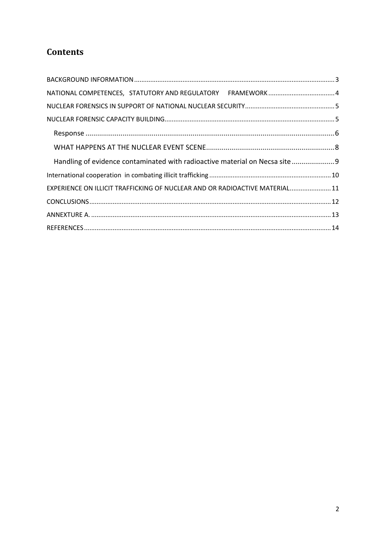# **Contents**

| Handling of evidence contaminated with radioactive material on Necsa site 9 |  |
|-----------------------------------------------------------------------------|--|
|                                                                             |  |
| EXPERIENCE ON ILLICIT TRAFFICKING OF NUCLEAR AND OR RADIOACTIVE MATERIAL 11 |  |
|                                                                             |  |
|                                                                             |  |
|                                                                             |  |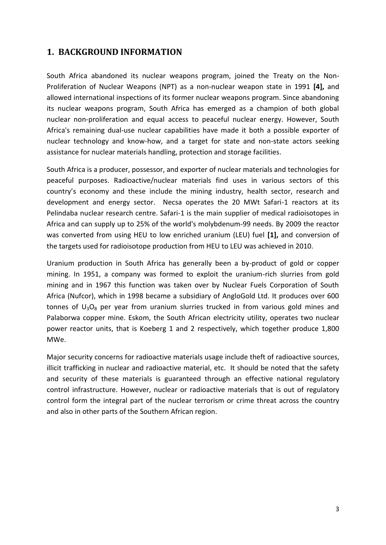#### <span id="page-2-0"></span>**1. BACKGROUND INFORMATION**

South Africa abandoned its nuclear weapons program, joined the [Treaty on the Non-](http://www.nti.org/glossary/treaty-non-proliferation-nuclear-weapons/)[Proliferation of Nuclear Weapons \(NPT\)](http://www.nti.org/glossary/treaty-non-proliferation-nuclear-weapons/) as a non-nuclear weapon state in 1991 **[4],** and allowed international inspections of its former nuclear weapons program. Since abandoning its nuclear weapons program, South Africa has emerged as a champion of both global nuclear non-proliferation and equal access to peaceful nuclear energy. However, South Africa's remaining dual-use nuclear capabilities have made it both a possible exporter of nuclear technology and know-how, and a target for state and non-state actors seeking assistance for nuclear materials handling, protection and storage facilities.

South Africa is a producer, possessor, and exporter of nuclear materials and technologies for peaceful purposes. Radioactive/nuclear materials find uses in various sectors of this country's economy and these include the mining industry, health sector, research and development and energy sector. Necsa operates the 20 MWt Safari-1 reactors at its Pelindaba nuclear research centre. Safari-1 is the main supplier of medical radioisotopes in Africa and can supply up to 25% of the world's molybdenum-99 needs. By 2009 the reactor was converted from using HEU to low enriched uranium (LEU) fuel **[1],** and conversion of the targets used for radioisotope production from HEU to LEU was achieved in 2010.

Uranium production in South Africa has generally been a by-product of gold or copper mining. In 1951, a company was formed to exploit the uranium-rich slurries from gold mining and in 1967 this function was taken over by Nuclear Fuels Corporation of South Africa (Nufcor), which in 1998 became a subsidiary of AngloGold Ltd. It produces over 600 tonnes of  $U_3O_8$  per year from uranium slurries trucked in from various gold mines and Palaborwa copper mine. Eskom, the South African electricity utility, operates two [nuclear](http://www.nti.org/glossary/nuclear-power-plant/)  [power reactor](http://www.nti.org/glossary/nuclear-power-plant/) units, that is Koeberg 1 and 2 respectively, which together produce 1,800 MWe.

Major security concerns for radioactive materials usage include theft of radioactive sources, illicit trafficking in nuclear and radioactive material, etc. It should be noted that the safety and security of these materials is guaranteed through an effective national regulatory control infrastructure. However, nuclear or radioactive materials that is out of regulatory control form the integral part of the nuclear terrorism or crime threat across the country and also in other parts of the Southern African region.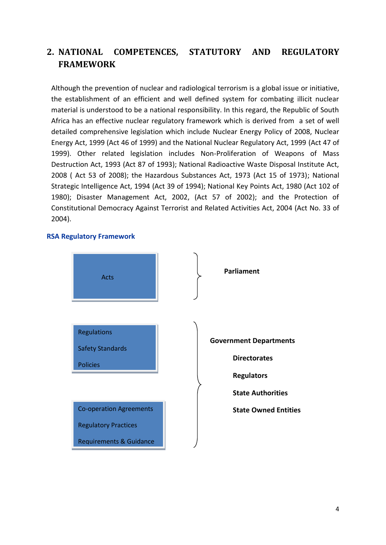# <span id="page-3-0"></span>**2. NATIONAL COMPETENCES, STATUTORY AND REGULATORY FRAMEWORK**

Although the prevention of nuclear and radiological terrorism is a global issue or initiative, the establishment of an efficient and well defined system for combating illicit nuclear material is understood to be a national responsibility. In this regard, the Republic of South Africa has an effective nuclear regulatory framework which is derived from a set of well detailed comprehensive legislation which include Nuclear Energy Policy of 2008, Nuclear Energy Act, 1999 (Act 46 of 1999) and the National Nuclear Regulatory Act, 1999 (Act 47 of 1999). Other related legislation includes Non-Proliferation of Weapons of Mass Destruction Act, 1993 (Act 87 of 1993); National Radioactive Waste Disposal Institute Act, 2008 ( Act 53 of 2008); the Hazardous Substances Act, 1973 (Act 15 of 1973); National Strategic Intelligence Act, 1994 (Act 39 of 1994); National Key Points Act, 1980 (Act 102 of 1980); Disaster Management Act, 2002, (Act 57 of 2002); and the Protection of Constitutional Democracy Against Terrorist and Related Activities Act, 2004 (Act No. 33 of 2004).

#### **RSA Regulatory Framework**

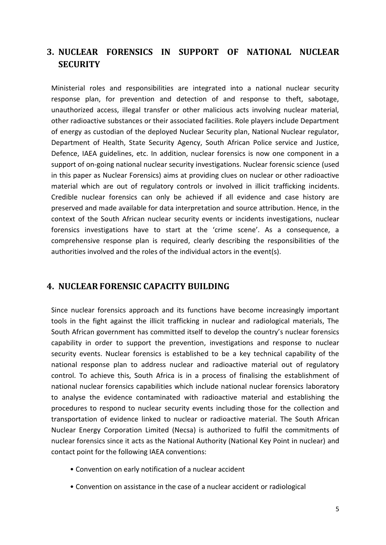## <span id="page-4-0"></span>**3. NUCLEAR FORENSICS IN SUPPORT OF NATIONAL NUCLEAR SECURITY**

Ministerial roles and responsibilities are integrated into a national nuclear security response plan, for prevention and detection of and response to theft, sabotage, unauthorized access, illegal transfer or other malicious acts involving nuclear material, other radioactive substances or their associated facilities. Role players include Department of energy as custodian of the deployed Nuclear Security plan, National Nuclear regulator, Department of Health, State Security Agency, South African Police service and Justice, Defence, IAEA guidelines, etc. In addition, nuclear forensics is now one component in a support of on-going national nuclear security investigations. Nuclear forensic science (used in this paper as Nuclear Forensics) aims at providing clues on nuclear or other radioactive material which are out of regulatory controls or involved in illicit trafficking incidents. Credible nuclear forensics can only be achieved if all evidence and case history are preserved and made available for data interpretation and source attribution. Hence, in the context of the South African nuclear security events or incidents investigations, nuclear forensics investigations have to start at the 'crime scene'. As a consequence, a comprehensive response plan is required, clearly describing the responsibilities of the authorities involved and the roles of the individual actors in the event(s).

#### <span id="page-4-1"></span>**4. NUCLEAR FORENSIC CAPACITY BUILDING**

Since nuclear forensics approach and its functions have become increasingly important tools in the fight against the illicit trafficking in nuclear and radiological materials, The South African government has committed itself to develop the country's nuclear forensics capability in order to support the prevention, investigations and response to nuclear security events. Nuclear forensics is established to be a key technical capability of the national response plan to address nuclear and radioactive material out of regulatory control. To achieve this, South Africa is in a process of finalising the establishment of national nuclear forensics capabilities which include national nuclear forensics laboratory to analyse the evidence contaminated with radioactive material and establishing the procedures to respond to nuclear security events including those for the collection and transportation of evidence linked to nuclear or radioactive material. The South African Nuclear Energy Corporation Limited (Necsa) is authorized to fulfil the commitments of nuclear forensics since it acts as the National Authority (National Key Point in nuclear) and contact point for the following IAEA conventions:

- Convention on early notification of a nuclear accident
- Convention on assistance in the case of a nuclear accident or radiological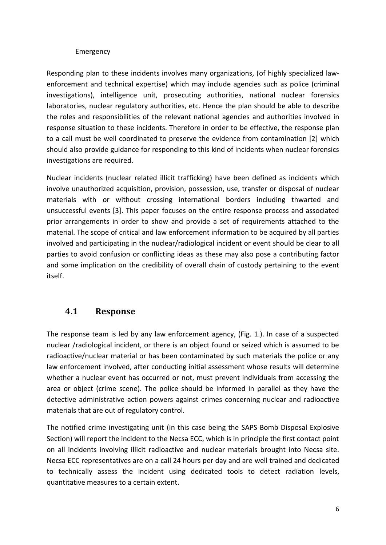#### Emergency

Responding plan to these incidents involves many organizations, (of highly specialized lawenforcement and technical expertise) which may include agencies such as police (criminal investigations), intelligence unit, prosecuting authorities, national nuclear forensics laboratories, nuclear regulatory authorities, etc. Hence the plan should be able to describe the roles and responsibilities of the relevant national agencies and authorities involved in response situation to these incidents. Therefore in order to be effective, the response plan to a call must be well coordinated to preserve the evidence from contamination [2] which should also provide guidance for responding to this kind of incidents when nuclear forensics investigations are required.

Nuclear incidents (nuclear related illicit trafficking) have been defined as incidents which involve unauthorized acquisition, provision, possession, use, transfer or disposal of nuclear materials with or without crossing international borders including thwarted and unsuccessful events [3]. This paper focuses on the entire response process and associated prior arrangements in order to show and provide a set of requirements attached to the material. The scope of critical and law enforcement information to be acquired by all parties involved and participating in the nuclear/radiological incident or event should be clear to all parties to avoid confusion or conflicting ideas as these may also pose a contributing factor and some implication on the credibility of overall chain of custody pertaining to the event itself.

#### <span id="page-5-0"></span>**4.1 Response**

The response team is led by any law enforcement agency, (Fig. 1.). In case of a suspected nuclear /radiological incident, or there is an object found or seized which is assumed to be radioactive/nuclear material or has been contaminated by such materials the police or any law enforcement involved, after conducting initial assessment whose results will determine whether a nuclear event has occurred or not, must prevent individuals from accessing the area or object (crime scene). The police should be informed in parallel as they have the detective administrative action powers against crimes concerning nuclear and radioactive materials that are out of regulatory control.

The notified crime investigating unit (in this case being the SAPS Bomb Disposal Explosive Section) will report the incident to the Necsa ECC, which is in principle the first contact point on all incidents involving illicit radioactive and nuclear materials brought into Necsa site. Necsa ECC representatives are on a call 24 hours per day and are well trained and dedicated to technically assess the incident using dedicated tools to detect radiation levels, quantitative measures to a certain extent.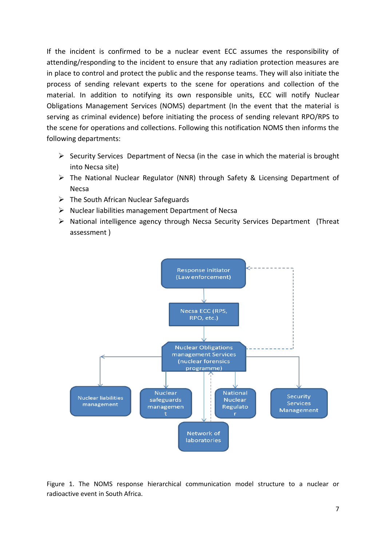If the incident is confirmed to be a nuclear event ECC assumes the responsibility of attending/responding to the incident to ensure that any radiation protection measures are in place to control and protect the public and the response teams. They will also initiate the process of sending relevant experts to the scene for operations and collection of the material. In addition to notifying its own responsible units, ECC will notify Nuclear Obligations Management Services (NOMS) department (In the event that the material is serving as criminal evidence) before initiating the process of sending relevant RPO/RPS to the scene for operations and collections. Following this notification NOMS then informs the following departments:

- $\triangleright$  Security Services Department of Necsa (in the case in which the material is brought into Necsa site)
- $\triangleright$  The National Nuclear Regulator (NNR) through Safety & Licensing Department of Necsa
- $\triangleright$  The South African Nuclear Safeguards
- $\triangleright$  Nuclear liabilities management Department of Necsa
- $\triangleright$  National intelligence agency through Necsa Security Services Department (Threat assessment )



Figure 1. The NOMS response hierarchical communication model structure to a nuclear or radioactive event in South Africa.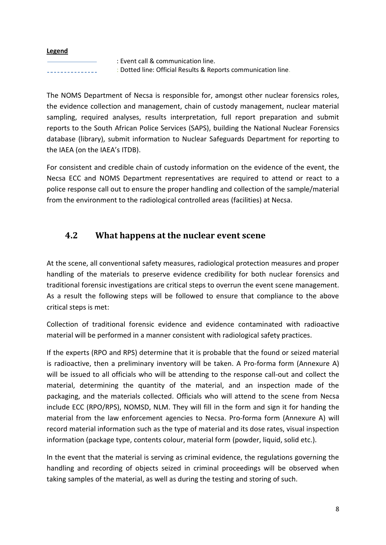#### **Legend**

: Event call & communication line. : Dotted line: Official Results & Reports communication line.

The NOMS Department of Necsa is responsible for, amongst other nuclear forensics roles, the evidence collection and management, chain of custody management, nuclear material sampling, required analyses, results interpretation, full report preparation and submit reports to the South African Police Services (SAPS), building the National Nuclear Forensics database (library), submit information to Nuclear Safeguards Department for reporting to the IAEA (on the IAEA's ITDB).

For consistent and credible chain of custody information on the evidence of the event, the Necsa ECC and NOMS Department representatives are required to attend or react to a police response call out to ensure the proper handling and collection of the sample/material from the environment to the radiological controlled areas (facilities) at Necsa.

### <span id="page-7-0"></span>**4.2 What happens at the nuclear event scene**

At the scene, all conventional safety measures, radiological protection measures and proper handling of the materials to preserve evidence credibility for both nuclear forensics and traditional forensic investigations are critical steps to overrun the event scene management. As a result the following steps will be followed to ensure that compliance to the above critical steps is met:

Collection of traditional forensic evidence and evidence contaminated with radioactive material will be performed in a manner consistent with radiological safety practices.

If the experts (RPO and RPS) determine that it is probable that the found or seized material is radioactive, then a preliminary inventory will be taken. A Pro-forma form (Annexure A) will be issued to all officials who will be attending to the response call-out and collect the material, determining the quantity of the material, and an inspection made of the packaging, and the materials collected. Officials who will attend to the scene from Necsa include ECC (RPO/RPS), NOMSD, NLM. They will fill in the form and sign it for handing the material from the law enforcement agencies to Necsa. Pro-forma form (Annexure A) will record material information such as the type of material and its dose rates, visual inspection information (package type, contents colour, material form (powder, liquid, solid etc.).

In the event that the material is serving as criminal evidence, the regulations governing the handling and recording of objects seized in criminal proceedings will be observed when taking samples of the material, as well as during the testing and storing of such.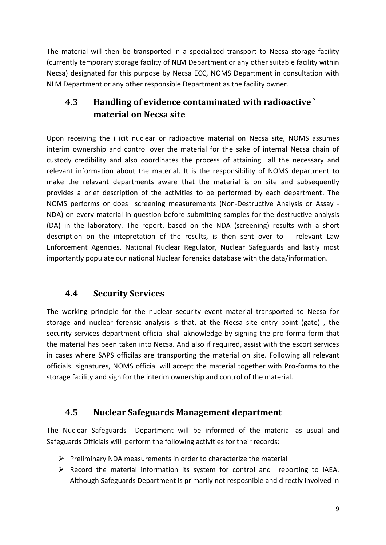The material will then be transported in a specialized transport to Necsa storage facility (currently temporary storage facility of NLM Department or any other suitable facility within Necsa) designated for this purpose by Necsa ECC, NOMS Department in consultation with NLM Department or any other responsible Department as the facility owner.

# <span id="page-8-0"></span>**4.3 Handling of evidence contaminated with radioactive ` material on Necsa site**

Upon receiving the illicit nuclear or radioactive material on Necsa site, NOMS assumes interim ownership and control over the material for the sake of internal Necsa chain of custody credibility and also coordinates the process of attaining all the necessary and relevant information about the material. It is the responsibility of NOMS department to make the relavant departments aware that the material is on site and subsequently provides a brief description of the activities to be performed by each department. The NOMS performs or does screening measurements (Non-Destructive Analysis or Assay - NDA) on every material in question before submitting samples for the destructive analysis (DA) in the laboratory. The report, based on the NDA (screening) results with a short description on the intepretation of the results, is then sent over to relevant Law Enforcement Agencies, National Nuclear Regulator, Nuclear Safeguards and lastly most importantly populate our national Nuclear forensics database with the data/information.

# **4.4 Security Services**

The working principle for the nuclear security event material transported to Necsa for storage and nuclear forensic analysis is that, at the Necsa site entry point (gate) , the security services department official shall aknowledge by signing the pro-forma form that the material has been taken into Necsa. And also if required, assist with the escort services in cases where SAPS officilas are transporting the material on site. Following all relevant officials signatures, NOMS official will accept the material together with Pro-forma to the storage facility and sign for the interim ownership and control of the material.

#### **4.5 Nuclear Safeguards Management department**

The Nuclear Safeguards Department will be informed of the material as usual and Safeguards Officials will perform the following activities for their records:

- $\triangleright$  Preliminary NDA measurements in order to characterize the material
- $\triangleright$  Record the material information its system for control and reporting to IAEA. Although Safeguards Department is primarily not resposnible and directly involved in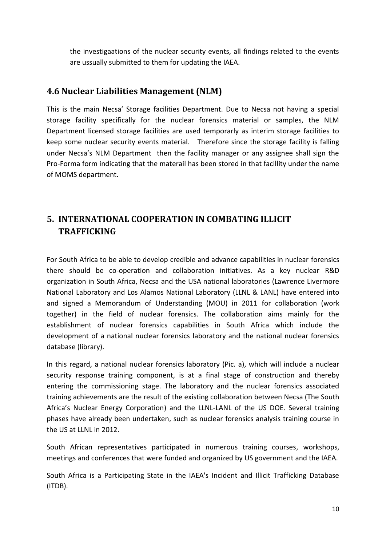the investigaations of the nuclear security events, all findings related to the events are ussually submitted to them for updating the IAEA.

### **4.6 Nuclear Liabilities Management (NLM)**

This is the main Necsa' Storage facilities Department. Due to Necsa not having a special storage facility specifically for the nuclear forensics material or samples, the NLM Department licensed storage facilities are used temporarly as interim storage facilities to keep some nuclear security events material. Therefore since the storage facility is falling under Necsa's NLM Department then the facility manager or any assignee shall sign the Pro-Forma form indicating that the materail has been stored in that facillity under the name of MOMS department.

# <span id="page-9-0"></span>**5. INTERNATIONAL COOPERATION IN COMBATING ILLICIT TRAFFICKING**

For South Africa to be able to develop credible and advance capabilities in nuclear forensics there should be co-operation and collaboration initiatives. As a key nuclear R&D organization in South Africa, Necsa and the USA national laboratories (Lawrence Livermore National Laboratory and Los Alamos National Laboratory (LLNL & LANL) have entered into and signed a Memorandum of Understanding (MOU) in 2011 for collaboration (work together) in the field of nuclear forensics. The collaboration aims mainly for the establishment of nuclear forensics capabilities in South Africa which include the development of a national nuclear forensics laboratory and the national nuclear forensics database (library).

In this regard, a national nuclear forensics laboratory (Pic. a), which will include a nuclear security response training component, is at a final stage of construction and thereby entering the commissioning stage. The laboratory and the nuclear forensics associated training achievements are the result of the existing collaboration between Necsa (The South Africa's Nuclear Energy Corporation) and the LLNL-LANL of the US DOE. Several training phases have already been undertaken, such as nuclear forensics analysis training course in the US at LLNL in 2012.

South African representatives participated in numerous training courses, workshops, meetings and conferences that were funded and organized by US government and the IAEA.

South Africa is a Participating State in the IAEA's Incident and Illicit Trafficking Database (ITDB).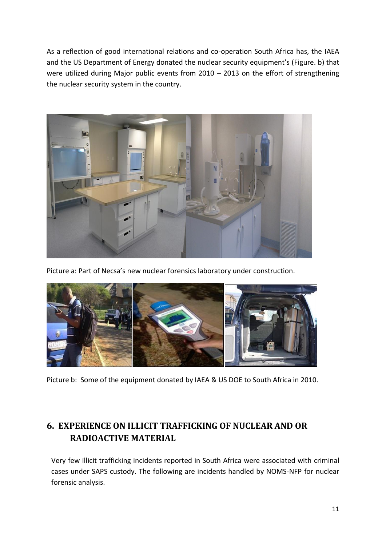As a reflection of good international relations and co-operation South Africa has, the IAEA and the US Department of Energy donated the nuclear security equipment's (Figure. b) that were utilized during Major public events from 2010 – 2013 on the effort of strengthening the nuclear security system in the country.



Picture a: Part of Necsa's new nuclear forensics laboratory under construction.



Picture b: Some of the equipment donated by IAEA & US DOE to South Africa in 2010.

# <span id="page-10-0"></span>**6. EXPERIENCE ON ILLICIT TRAFFICKING OF NUCLEAR AND OR RADIOACTIVE MATERIAL**

Very few illicit trafficking incidents reported in South Africa were associated with criminal cases under SAPS custody. The following are incidents handled by NOMS-NFP for nuclear forensic analysis.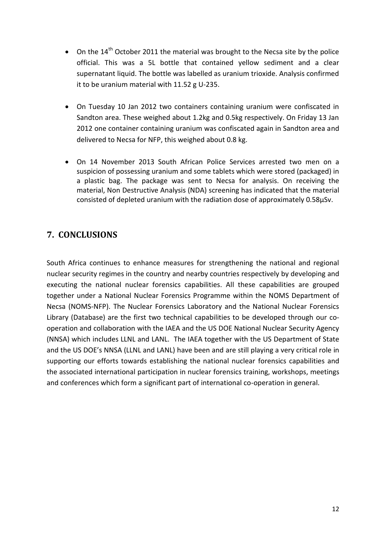- On the  $14<sup>th</sup>$  October 2011 the material was brought to the Necsa site by the police official. This was a 5L bottle that contained yellow sediment and a clear supernatant liquid. The bottle was labelled as uranium trioxide. Analysis confirmed it to be uranium material with 11.52 g U-235.
- On Tuesday 10 Jan 2012 two containers containing uranium were confiscated in Sandton area. These weighed about 1.2kg and 0.5kg respectively. On Friday 13 Jan 2012 one container containing uranium was confiscated again in Sandton area and delivered to Necsa for NFP, this weighed about 0.8 kg.
- On 14 November 2013 South African Police Services arrested two men on a suspicion of possessing uranium and some tablets which were stored (packaged) in a plastic bag. The package was sent to Necsa for analysis. On receiving the material, Non Destructive Analysis (NDA) screening has indicated that the material consisted of depleted uranium with the radiation dose of approximately 0.58µSv.

### <span id="page-11-0"></span>**7. CONCLUSIONS**

South Africa continues to enhance measures for strengthening the national and regional nuclear security regimes in the country and nearby countries respectively by developing and executing the national nuclear forensics capabilities. All these capabilities are grouped together under a National Nuclear Forensics Programme within the NOMS Department of Necsa (NOMS-NFP). The Nuclear Forensics Laboratory and the National Nuclear Forensics Library (Database) are the first two technical capabilities to be developed through our cooperation and collaboration with the IAEA and the US DOE National Nuclear Security Agency (NNSA) which includes LLNL and LANL. The IAEA together with the US Department of State and the US DOE's NNSA (LLNL and LANL) have been and are still playing a very critical role in supporting our efforts towards establishing the national nuclear forensics capabilities and the associated international participation in nuclear forensics training, workshops, meetings and conferences which form a significant part of international co-operation in general.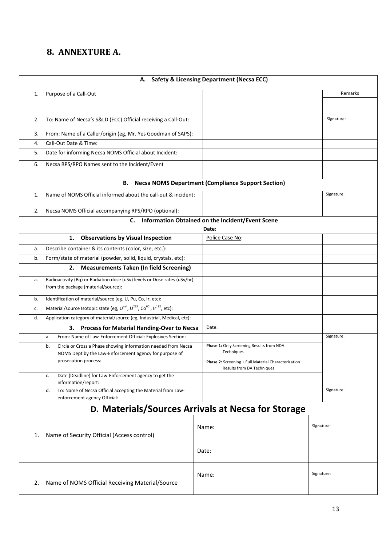# <span id="page-12-0"></span>**8. ANNEXTURE A.**

| A. Safety & Licensing Department (Necsa ECC) |                                                                                                                                                       |                                                                                                                      |            |  |  |
|----------------------------------------------|-------------------------------------------------------------------------------------------------------------------------------------------------------|----------------------------------------------------------------------------------------------------------------------|------------|--|--|
| 1.                                           | Purpose of a Call-Out                                                                                                                                 |                                                                                                                      | Remarks    |  |  |
|                                              |                                                                                                                                                       |                                                                                                                      |            |  |  |
| 2.                                           | To: Name of Necsa's S&LD (ECC) Official receiving a Call-Out:                                                                                         |                                                                                                                      | Signature: |  |  |
| 3.                                           | From: Name of a Caller/origin (eg, Mr. Yes Goodman of SAPS):                                                                                          |                                                                                                                      |            |  |  |
| 4.                                           | Call-Out Date & Time:                                                                                                                                 |                                                                                                                      |            |  |  |
| 5.                                           | Date for informing Necsa NOMS Official about Incident:                                                                                                |                                                                                                                      |            |  |  |
| 6.                                           | Necsa RPS/RPO Names sent to the Incident/Event                                                                                                        |                                                                                                                      |            |  |  |
|                                              | В.                                                                                                                                                    | <b>Necsa NOMS Department (Compliance Support Section)</b>                                                            |            |  |  |
| 1.                                           | Name of NOMS Official informed about the call-out & incident:                                                                                         |                                                                                                                      | Signature: |  |  |
| 2.                                           | Necsa NOMS Official accompanying RPS/RPO (optional):                                                                                                  |                                                                                                                      |            |  |  |
|                                              | C.                                                                                                                                                    | Information Obtained on the Incident/Event Scene                                                                     |            |  |  |
|                                              |                                                                                                                                                       | Date:<br>Police Case No:                                                                                             |            |  |  |
|                                              | <b>Observations by Visual Inspection</b><br>1.                                                                                                        |                                                                                                                      |            |  |  |
| a.                                           | Describe container & its contents (color, size, etc.):                                                                                                |                                                                                                                      |            |  |  |
| b.                                           | Form/state of material (powder, solid, liquid, crystals, etc):                                                                                        |                                                                                                                      |            |  |  |
|                                              | <b>Measurements Taken (In field Screening)</b><br>2.                                                                                                  |                                                                                                                      |            |  |  |
| a.                                           | Radioactivity (Bq) or Radiation dose (uSv) levels or Dose rates (uSv/hr)<br>from the package (material/source):                                       |                                                                                                                      |            |  |  |
| b.                                           | Identification of material/source (eg. U, Pu, Co, Ir, etc):                                                                                           |                                                                                                                      |            |  |  |
| c.                                           | Material/source Isotopic state (eg, U <sup>nat</sup> , U <sup>235</sup> , Co <sup>60</sup> , Ir <sup>192</sup> , etc):                                |                                                                                                                      |            |  |  |
| d.                                           | Application category of material/source (eg, Industrial, Medical, etc):                                                                               |                                                                                                                      |            |  |  |
|                                              | Process for Material Handing-Over to Necsa<br>3.                                                                                                      | Date:                                                                                                                |            |  |  |
|                                              | From: Name of Law-Enforcement Official: Explosives Section:<br>а.                                                                                     |                                                                                                                      | Signature: |  |  |
|                                              | Circle or Cross a Phase showing information needed from Necsa<br>b.<br>NOMS Dept by the Law-Enforcement agency for purpose of<br>prosecution process: | Phase 1: Only Screening Results from NDA<br>Techniques<br><b>Phase 2:</b> Screening + Full Material Characterization |            |  |  |
|                                              | Date (Deadline) for Law-Enforcement agency to get the<br>c.<br>information/report:                                                                    | Results from DA Techniques                                                                                           |            |  |  |
|                                              | To: Name of Necsa Official accepting the Material from Law-<br>d.<br>enforcement agency Official:                                                     |                                                                                                                      | Signature: |  |  |
|                                              | D. Materials/Sources Arrivals at Necsa for Storage                                                                                                    |                                                                                                                      |            |  |  |
| 1.                                           | Name of Security Official (Access control)                                                                                                            | Name:<br>Date:                                                                                                       | Signature: |  |  |
| 2.                                           | Name of NOMS Official Receiving Material/Source                                                                                                       | Name:                                                                                                                | Signature: |  |  |